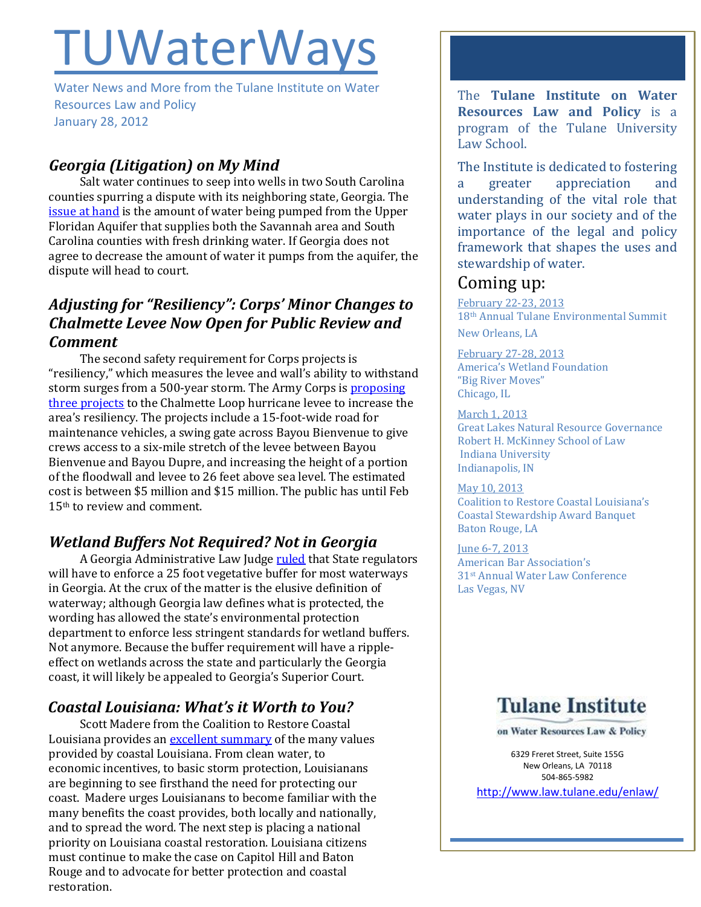# **TUWaterWays**

Water News and More from the Tulane Institute on Water Resources Law and Policy January 28, 2012

## *Georgia (Litigation) on My Mind*

Salt water continues to seep into wells in two South Carolina counties spurring a dispute with its neighboring state, Georgia. Th[e](http://www.islandpacket.com/2013/01/18/2347125/sc-threatens-suit-if-water-deal.html)  [issue at hand](http://www.islandpacket.com/2013/01/18/2347125/sc-threatens-suit-if-water-deal.html) is the amount of water being pumped from the Upper Floridan Aquifer that supplies both the Savannah area and South Carolina counties with fresh drinking water. If Georgia does not agree to decrease the amount of water it pumps from the aquifer, the dispute will head to court.

## *Adjusting for "Resiliency": Corps' Minor Changes to Chalmette Levee Now Open for Public Review and Comment*

The second safety requirement for Corps projects is "resiliency," which measures the levee and wall's ability to withstand storm surges from a 500-year storm. The Army Corps is [proposing](http://www.nola.com/environment/index.ssf/2013/01/corps_making_minor_changes_in.html)  [three projects](http://www.nola.com/environment/index.ssf/2013/01/corps_making_minor_changes_in.html) to the Chalmette Loop hurricane levee to increase the area's resiliency. The projects include a 15-foot-wide road for maintenance vehicles, a swing gate across Bayou Bienvenue to give crews access to a six-mile stretch of the levee between Bayou Bienvenue and Bayou Dupre, and increasing the height of a portion of the floodwall and levee to 26 feet above sea level. The estimated cost is between \$5 million and \$15 million. The public has until Feb 15th to review and comment.

# *Wetland Buffers Not Required? Not in Georgia*

A Georgia Administrative Law Judg[e ruled](http://www.gpb.org/news/2013/01/16/judge-enforces-wetlands-buffer) that State regulators will have to enforce a 25 foot vegetative buffer for most waterways in Georgia. At the crux of the matter is the elusive definition of waterway; although Georgia law defines what is protected, the wording has allowed the state's environmental protection department to enforce less stringent standards for wetland buffers. Not anymore. Because the buffer requirement will have a rippleeffect on wetlands across the state and particularly the Georgia coast, it will likely be appealed to Georgia's Superior Court.

## *Coastal Louisiana: What's it Worth to You?*

Scott Madere from the Coalition to Restore Coastal Louisiana provides a[n excellent summary](http://crcl.org/blog-menu-item/post/what-is-our-coast-worth-in-dollars.html) of the many values provided by coastal Louisiana. From clean water, to economic incentives, to basic storm protection, Louisianans are beginning to see firsthand the need for protecting our coast. Madere urges Louisianans to become familiar with the many benefits the coast provides, both locally and nationally, and to spread the word. The next step is placing a national priority on Louisiana coastal restoration. Louisiana citizens must continue to make the case on Capitol Hill and Baton Rouge and to advocate for better protection and coastal restoration.

The **Tulane Institute on Water Resources Law and Policy** is a program of the Tulane University Law School.

The Institute is dedicated to fostering a greater appreciation and understanding of the vital role that water plays in our society and of the importance of the legal and policy framework that shapes the uses and stewardship of water.

## Coming up:

February 22-23, 2013 18th Annual Tulane Environmental Summit New Orleans, LA

February 27-28, 2013 America's Wetland Foundation "Big River Moves" Chicago, IL

March 1, 2013 Great Lakes Natural Resource Governance Robert H. McKinney School of Law Indiana University Indianapolis, IN

May 10, 2013 Coalition to Restore Coastal Louisiana's Coastal Stewardship Award Banquet Baton Rouge, LA

June 6-7, 2013 American Bar Association's 31st Annual Water Law Conference Las Vegas, NV



on Water Resources Law & Policy

6329 Freret Street, Suite 155G New Orleans, LA 70118 504-865-5982

<http://www.law.tulane.edu/enlaw/>